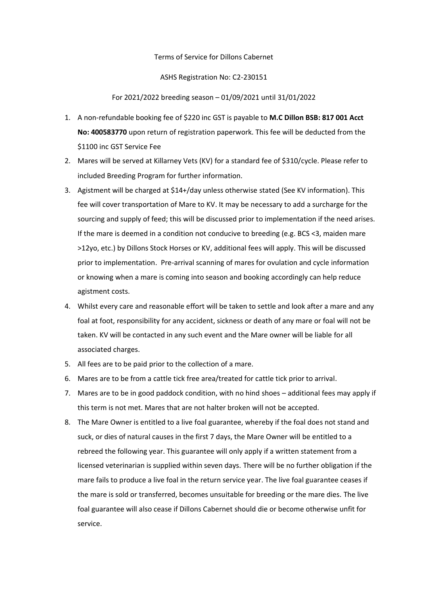## Terms of Service for Dillons Cabernet

## ASHS Registration No: C2-230151

For 2021/2022 breeding season – 01/09/2021 until 31/01/2022

- 1. A non-refundable booking fee of \$220 inc GST is payable to **M.C Dillon BSB: 817 001 Acct No: 400583770** upon return of registration paperwork. This fee will be deducted from the \$1100 inc GST Service Fee
- 2. Mares will be served at Killarney Vets (KV) for a standard fee of \$310/cycle. Please refer to included Breeding Program for further information.
- 3. Agistment will be charged at \$14+/day unless otherwise stated (See KV information). This fee will cover transportation of Mare to KV. It may be necessary to add a surcharge for the sourcing and supply of feed; this will be discussed prior to implementation if the need arises. If the mare is deemed in a condition not conducive to breeding (e.g. BCS <3, maiden mare >12yo, etc.) by Dillons Stock Horses or KV, additional fees will apply. This will be discussed prior to implementation. Pre-arrival scanning of mares for ovulation and cycle information or knowing when a mare is coming into season and booking accordingly can help reduce agistment costs.
- 4. Whilst every care and reasonable effort will be taken to settle and look after a mare and any foal at foot, responsibility for any accident, sickness or death of any mare or foal will not be taken. KV will be contacted in any such event and the Mare owner will be liable for all associated charges.
- 5. All fees are to be paid prior to the collection of a mare.
- 6. Mares are to be from a cattle tick free area/treated for cattle tick prior to arrival.
- 7. Mares are to be in good paddock condition, with no hind shoes additional fees may apply if this term is not met. Mares that are not halter broken will not be accepted.
- 8. The Mare Owner is entitled to a live foal guarantee, whereby if the foal does not stand and suck, or dies of natural causes in the first 7 days, the Mare Owner will be entitled to a rebreed the following year. This guarantee will only apply if a written statement from a licensed veterinarian is supplied within seven days. There will be no further obligation if the mare fails to produce a live foal in the return service year. The live foal guarantee ceases if the mare is sold or transferred, becomes unsuitable for breeding or the mare dies. The live foal guarantee will also cease if Dillons Cabernet should die or become otherwise unfit for service.